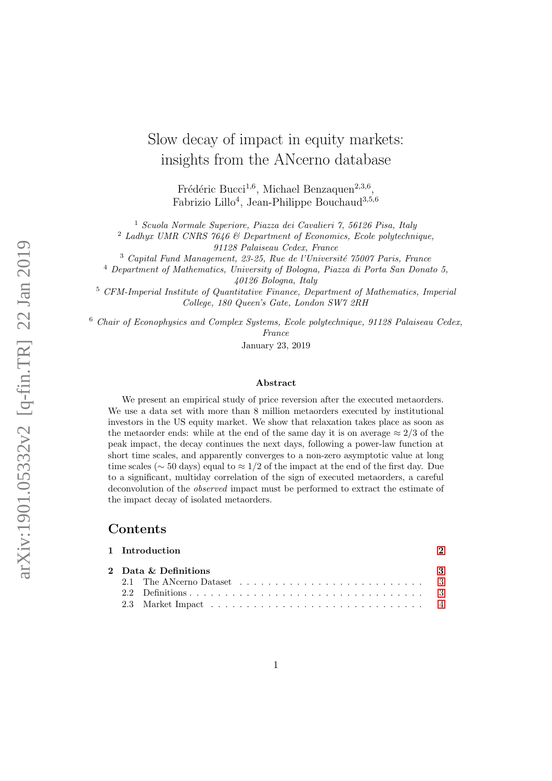# Slow decay of impact in equity markets: insights from the ANcerno database

Frédéric Bucci<sup>1,6</sup>, Michael Benzaquen<sup>2,3,6</sup>, Fabrizio Lillo<sup>4</sup>, Jean-Philippe Bouchaud<sup>3,5,6</sup>

<sup>1</sup> Scuola Normale Superiore, Piazza dei Cavalieri 7, 56126 Pisa, Italy

<sup>2</sup> Ladhyx UMR CNRS 7646  $\&$  Department of Economics, Ecole polytechnique,

91128 Palaiseau Cedex, France

 $3$  Capital Fund Management, 23-25, Rue de l'Université 75007 Paris, France

<sup>4</sup> Department of Mathematics, University of Bologna, Piazza di Porta San Donato 5, 40126 Bologna, Italy

<sup>5</sup> CFM-Imperial Institute of Quantitative Finance, Department of Mathematics, Imperial College, 180 Queen's Gate, London SW7 2RH

 $6$  Chair of Econophysics and Complex Systems, Ecole polytechnique, 91128 Palaiseau Cedex, France

January 23, 2019

### Abstract

We present an empirical study of price reversion after the executed metaorders. We use a data set with more than 8 million metaorders executed by institutional investors in the US equity market. We show that relaxation takes place as soon as the metaorder ends: while at the end of the same day it is on average  $\approx 2/3$  of the peak impact, the decay continues the next days, following a power-law function at short time scales, and apparently converges to a non-zero asymptotic value at long time scales ( $\sim$  50 days) equal to  $\approx$  1/2 of the impact at the end of the first day. Due to a significant, multiday correlation of the sign of executed metaorders, a careful deconvolution of the observed impact must be performed to extract the estimate of the impact decay of isolated metaorders.

## Contents

|  | 1 Introduction                     |  |  |  |
|--|------------------------------------|--|--|--|
|  | 2 Data & Definitions<br>$_{\rm 3}$ |  |  |  |
|  |                                    |  |  |  |
|  |                                    |  |  |  |
|  |                                    |  |  |  |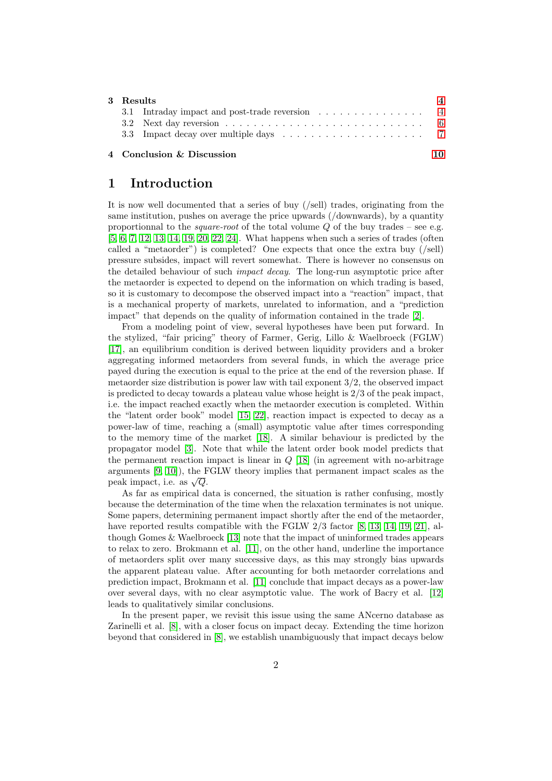| 3 Results |                                                |  |
|-----------|------------------------------------------------|--|
|           | 3.1 Intraday impact and post-trade reversion 4 |  |
|           |                                                |  |
|           |                                                |  |
|           | 4 Conclusion & Discussion                      |  |

# <span id="page-1-0"></span>1 Introduction

It is now well documented that a series of buy (/sell) trades, originating from the same institution, pushes on average the price upwards (/downwards), by a quantity proportionnal to the *square-root* of the total volume  $Q$  of the buy trades – see e.g. [\[5,](#page-10-0) [6,](#page-10-1) [7,](#page-10-2) [12,](#page-11-0) [13,](#page-11-1) [14,](#page-11-2) [19,](#page-11-3) [20,](#page-11-4) [22,](#page-11-5) [24\]](#page-11-6). What happens when such a series of trades (often called a "metaorder") is completed? One expects that once the extra buy  $(\text{sell})$ pressure subsides, impact will revert somewhat. There is however no consensus on the detailed behaviour of such impact decay. The long-run asymptotic price after the metaorder is expected to depend on the information on which trading is based, so it is customary to decompose the observed impact into a "reaction" impact, that is a mechanical property of markets, unrelated to information, and a "prediction impact" that depends on the quality of information contained in the trade [\[2\]](#page-10-3).

From a modeling point of view, several hypotheses have been put forward. In the stylized, "fair pricing" theory of Farmer, Gerig, Lillo & Waelbroeck (FGLW) [\[17\]](#page-11-7), an equilibrium condition is derived between liquidity providers and a broker aggregating informed metaorders from several funds, in which the average price payed during the execution is equal to the price at the end of the reversion phase. If metaorder size distribution is power law with tail exponent  $3/2$ , the observed impact is predicted to decay towards a plateau value whose height is 2/3 of the peak impact, i.e. the impact reached exactly when the metaorder execution is completed. Within the "latent order book" model [\[15,](#page-11-8) [22\]](#page-11-5), reaction impact is expected to decay as a power-law of time, reaching a (small) asymptotic value after times corresponding to the memory time of the market [\[18\]](#page-11-9). A similar behaviour is predicted by the propagator model [\[3\]](#page-10-4). Note that while the latent order book model predicts that the permanent reaction impact is linear in  $Q$  [\[18\]](#page-11-9) (in agreement with no-arbitrage arguments [\[9,](#page-11-10) [10\]](#page-11-11)), the FGLW theory implies that permanent impact scales as the peak impact, i.e. as  $\sqrt{Q}$ .

As far as empirical data is concerned, the situation is rather confusing, mostly because the determination of the time when the relaxation terminates is not unique. Some papers, determining permanent impact shortly after the end of the metaorder, have reported results compatible with the FGLW  $2/3$  factor [\[8,](#page-10-5) [13,](#page-11-1) [14,](#page-11-2) [19,](#page-11-3) [21\]](#page-11-12), although Gomes & Waelbroeck [\[13\]](#page-11-1) note that the impact of uninformed trades appears to relax to zero. Brokmann et al. [\[11\]](#page-11-13), on the other hand, underline the importance of metaorders split over many successive days, as this may strongly bias upwards the apparent plateau value. After accounting for both metaorder correlations and prediction impact, Brokmann et al. [\[11\]](#page-11-13) conclude that impact decays as a power-law over several days, with no clear asymptotic value. The work of Bacry et al. [\[12\]](#page-11-0) leads to qualitatively similar conclusions.

In the present paper, we revisit this issue using the same ANcerno database as Zarinelli et al. [\[8\]](#page-10-5), with a closer focus on impact decay. Extending the time horizon beyond that considered in [\[8\]](#page-10-5), we establish unambiguously that impact decays below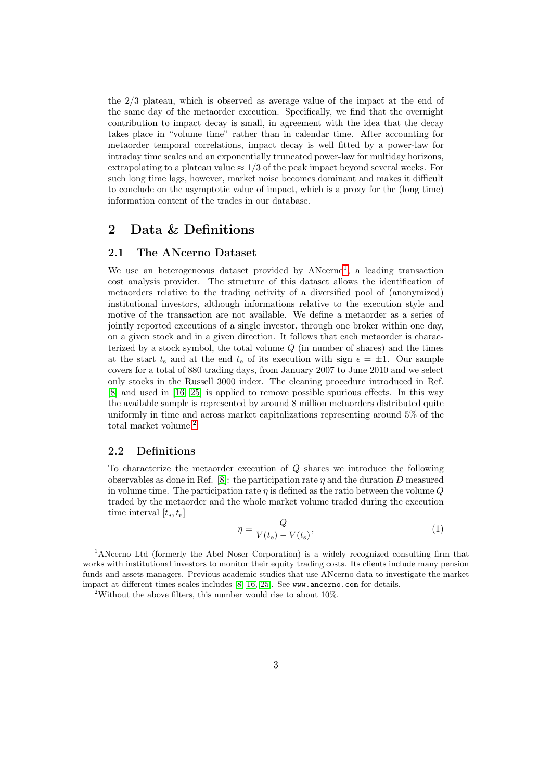the 2/3 plateau, which is observed as average value of the impact at the end of the same day of the metaorder execution. Specifically, we find that the overnight contribution to impact decay is small, in agreement with the idea that the decay takes place in "volume time" rather than in calendar time. After accounting for metaorder temporal correlations, impact decay is well fitted by a power-law for intraday time scales and an exponentially truncated power-law for multiday horizons, extrapolating to a plateau value  $\approx 1/3$  of the peak impact beyond several weeks. For such long time lags, however, market noise becomes dominant and makes it difficult to conclude on the asymptotic value of impact, which is a proxy for the (long time) information content of the trades in our database.

## <span id="page-2-0"></span>2 Data & Definitions

#### <span id="page-2-1"></span>2.1 The ANcerno Dataset

We use an heterogeneous dataset provided by ANcerno<sup>[1](#page-2-3)</sup>, a leading transaction cost analysis provider. The structure of this dataset allows the identification of metaorders relative to the trading activity of a diversified pool of (anonymized) institutional investors, although informations relative to the execution style and motive of the transaction are not available. We define a metaorder as a series of jointly reported executions of a single investor, through one broker within one day, on a given stock and in a given direction. It follows that each metaorder is characterized by a stock symbol, the total volume  $Q$  (in number of shares) and the times at the start  $t_s$  and at the end  $t_e$  of its execution with sign  $\epsilon = \pm 1$ . Our sample covers for a total of 880 trading days, from January 2007 to June 2010 and we select only stocks in the Russell 3000 index. The cleaning procedure introduced in Ref. [\[8\]](#page-10-5) and used in [\[16,](#page-11-14) [25\]](#page-11-15) is applied to remove possible spurious effects. In this way the available sample is represented by around 8 million metaorders distributed quite uniformly in time and across market capitalizations representing around 5% of the total market volume.[2](#page-2-4)

## <span id="page-2-2"></span>2.2 Definitions

To characterize the metaorder execution of Q shares we introduce the following observables as done in Ref. [\[8\]](#page-10-5): the participation rate  $\eta$  and the duration D measured in volume time. The participation rate  $\eta$  is defined as the ratio between the volume  $Q$ traded by the metaorder and the whole market volume traded during the execution time interval  $[t_{s}, t_{e}]$ 

$$
\eta = \frac{Q}{V(t_e) - V(t_s)},\tag{1}
$$

<span id="page-2-3"></span><sup>1</sup>ANcerno Ltd (formerly the Abel Noser Corporation) is a widely recognized consulting firm that works with institutional investors to monitor their equity trading costs. Its clients include many pension funds and assets managers. Previous academic studies that use ANcerno data to investigate the market impact at different times scales includes [\[8,](#page-10-5) [16,](#page-11-14) [25\]](#page-11-15). See www.ancerno.com for details.

<span id="page-2-4"></span><sup>&</sup>lt;sup>2</sup>Without the above filters, this number would rise to about  $10\%$ .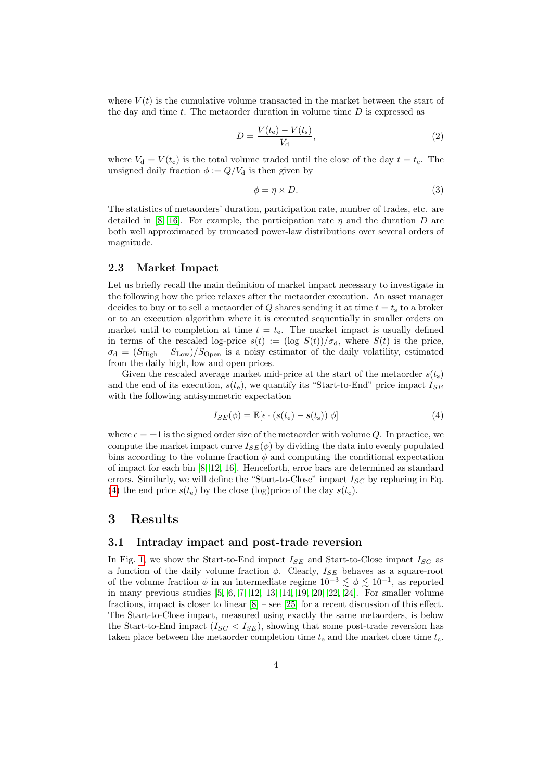where  $V(t)$  is the cumulative volume transacted in the market between the start of the day and time t. The metaorder duration in volume time  $D$  is expressed as

$$
D = \frac{V(t_e) - V(t_s)}{V_d},
$$
\n(2)

where  $V_d = V(t_c)$  is the total volume traded until the close of the day  $t = t_c$ . The unsigned daily fraction  $\phi := Q/V_d$  is then given by

$$
\phi = \eta \times D. \tag{3}
$$

The statistics of metaorders' duration, participation rate, number of trades, etc. are detailed in [\[8,](#page-10-5) [16\]](#page-11-14). For example, the participation rate  $\eta$  and the duration  $D$  are both well approximated by truncated power-law distributions over several orders of magnitude.

#### <span id="page-3-0"></span>2.3 Market Impact

Let us briefly recall the main definition of market impact necessary to investigate in the following how the price relaxes after the metaorder execution. An asset manager decides to buy or to sell a metaorder of Q shares sending it at time  $t = t<sub>s</sub>$  to a broker or to an execution algorithm where it is executed sequentially in smaller orders on market until to completion at time  $t = t<sub>e</sub>$ . The market impact is usually defined in terms of the rescaled log-price  $s(t) := (\log S(t))/\sigma_d$ , where  $S(t)$  is the price,  $\sigma_{\rm d} = (S_{\rm High} - S_{\rm Low})/S_{\rm Open}$  is a noisy estimator of the daily volatility, estimated from the daily high, low and open prices.

Given the rescaled average market mid-price at the start of the metaorder  $s(t<sub>s</sub>)$ and the end of its execution,  $s(t_e)$ , we quantify its "Start-to-End" price impact  $I_{SE}$ with the following antisymmetric expectation

<span id="page-3-3"></span>
$$
I_{SE}(\phi) = \mathbb{E}[\epsilon \cdot (s(t_e) - s(t_s)) | \phi]
$$
\n(4)

where  $\epsilon = \pm 1$  is the signed order size of the metaorder with volume Q. In practice, we compute the market impact curve  $I_{SE}(\phi)$  by dividing the data into evenly populated bins according to the volume fraction  $\phi$  and computing the conditional expectation of impact for each bin [\[8,](#page-10-5) [12,](#page-11-0) [16\]](#page-11-14). Henceforth, error bars are determined as standard errors. Similarly, we will define the "Start-to-Close" impact  $I_{SC}$  by replacing in Eq. [\(4\)](#page-3-3) the end price  $s(t_e)$  by the close (log)price of the day  $s(t_c)$ .

## <span id="page-3-1"></span>3 Results

## <span id="page-3-2"></span>3.1 Intraday impact and post-trade reversion

In Fig. [1,](#page-4-0) we show the Start-to-End impact  $I_{SE}$  and Start-to-Close impact  $I_{SC}$  as a function of the daily volume fraction  $\phi$ . Clearly,  $I_{SE}$  behaves as a square-root of the volume fraction  $\phi$  in an intermediate regime  $10^{-3} \lesssim \phi \lesssim 10^{-1}$ , as reported in many previous studies [\[5,](#page-10-0) [6,](#page-10-1) [7,](#page-10-2) [12,](#page-11-0) [13,](#page-11-1) [14,](#page-11-2) [19,](#page-11-3) [20,](#page-11-4) [22,](#page-11-5) [24\]](#page-11-6). For smaller volume fractions, impact is closer to linear [\[8\]](#page-10-5) – see [\[25\]](#page-11-15) for a recent discussion of this effect. The Start-to-Close impact, measured using exactly the same metaorders, is below the Start-to-End impact  $(I_{SC} < I_{SE})$ , showing that some post-trade reversion has taken place between the metaorder completion time  $t_e$  and the market close time  $t_c$ .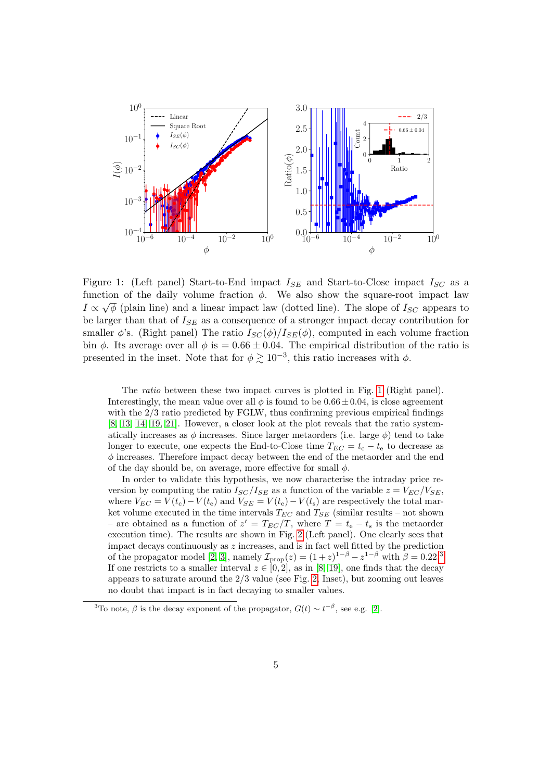<span id="page-4-0"></span>

Figure 1: (Left panel) Start-to-End impact  $I_{SE}$  and Start-to-Close impact  $I_{SC}$  as a function of the daily volume fraction  $\phi$ . We also show the square-root impact law  $I \propto \sqrt{\phi}$  (plain line) and a linear impact law (dotted line). The slope of  $I_{SC}$  appears to be larger than that of  $I_{SE}$  as a consequence of a stronger impact decay contribution for smaller  $\phi$ 's. (Right panel) The ratio  $I_{SC}(\phi)/I_{SE}(\phi)$ , computed in each volume fraction bin  $\phi$ . Its average over all  $\phi$  is = 0.66  $\pm$  0.04. The empirical distribution of the ratio is presented in the inset. Note that for  $\phi \gtrsim 10^{-3}$ , this ratio increases with  $\phi$ .

The ratio between these two impact curves is plotted in Fig. [1](#page-4-0) (Right panel). Interestingly, the mean value over all  $\phi$  is found to be 0.66  $\pm$  0.04, is close agreement with the  $2/3$  ratio predicted by FGLW, thus confirming previous empirical findings [\[8,](#page-10-5) [13,](#page-11-1) [14,](#page-11-2) [19,](#page-11-3) [21\]](#page-11-12). However, a closer look at the plot reveals that the ratio systematically increases as  $\phi$  increases. Since larger metaorders (i.e. large  $\phi$ ) tend to take longer to execute, one expects the End-to-Close time  $T_{EC} = t_c - t_e$  to decrease as  $\phi$  increases. Therefore impact decay between the end of the metaorder and the end of the day should be, on average, more effective for small  $\phi$ .

In order to validate this hypothesis, we now characterise the intraday price reversion by computing the ratio  $I_{SC}/I_{SE}$  as a function of the variable  $z = V_{EC}/V_{SE}$ , where  $V_{EC} = V(t_c) - V(t_e)$  and  $V_{SE} = V(t_e) - V(t_s)$  are respectively the total market volume executed in the time intervals  $T_{EC}$  and  $T_{SE}$  (similar results – not shown – are obtained as a function of  $z' = T_{EC}/T$ , where  $T = t_e - t_s$  is the metaorder execution time). The results are shown in Fig. [2](#page-5-1) (Left panel). One clearly sees that impact decays continuously as  $z$  increases, and is in fact well fitted by the prediction of the propagator model [\[2,](#page-10-3) [3\]](#page-10-4), namely  $\mathcal{I}_{\text{prop}}(z) = (1+z)^{1-\beta} - z^{1-\beta}$  with  $\beta = 0.22$ .<sup>[3](#page-4-1)</sup> If one restricts to a smaller interval  $z \in [0, 2]$ , as in [\[8,](#page-10-5) [19\]](#page-11-3), one finds that the decay appears to saturate around the  $2/3$  value (see Fig. [2,](#page-5-1) Inset), but zooming out leaves no doubt that impact is in fact decaying to smaller values.

<span id="page-4-1"></span><sup>&</sup>lt;sup>3</sup>To note,  $\beta$  is the decay exponent of the propagator,  $G(t) \sim t^{-\beta}$ , see e.g. [\[2\]](#page-10-3).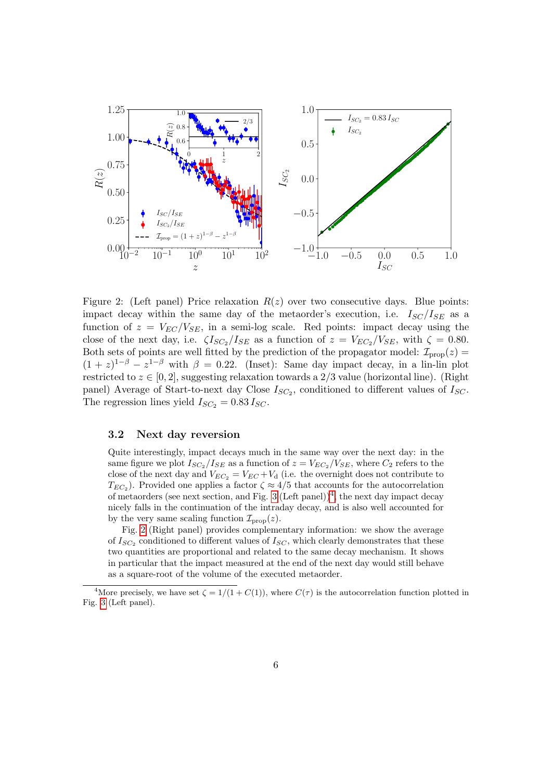<span id="page-5-1"></span>

Figure 2: (Left panel) Price relaxation  $R(z)$  over two consecutive days. Blue points: impact decay within the same day of the metaorder's execution, i.e.  $I_{SC}/I_{SE}$  as a function of  $z = V_{EC}/V_{SE}$ , in a semi-log scale. Red points: impact decay using the close of the next day, i.e.  $\zeta I_{SC_2}/I_{SE}$  as a function of  $z = V_{EC_2}/V_{SE}$ , with  $\zeta = 0.80$ . Both sets of points are well fitted by the prediction of the propagator model:  $\mathcal{I}_{\text{prop}}(z)$  =  $(1 + z)^{1-\beta} - z^{1-\beta}$  with  $\beta = 0.22$ . (Inset): Same day impact decay, in a lin-lin plot restricted to  $z \in [0, 2]$ , suggesting relaxation towards a 2/3 value (horizontal line). (Right panel) Average of Start-to-next day Close  $I_{SC_2}$ , conditioned to different values of  $I_{SC}$ . The regression lines yield  $I_{SC_2} = 0.83 I_{SC}$ .

### <span id="page-5-0"></span>3.2 Next day reversion

Quite interestingly, impact decays much in the same way over the next day: in the same figure we plot  $I_{SC_2}/I_{SE}$  as a function of  $z = V_{EC_2}/V_{SE}$ , where  $C_2$  refers to the close of the next day and  $V_{EC_2} = V_{EC} + V_d$  (i.e. the overnight does not contribute to  $T_{EC_2}$ ). Provided one applies a factor  $\zeta \approx 4/5$  that accounts for the autocorrelation of metaorders (see next section, and Fig. [3](#page-6-1) (Left panel))<sup>[4](#page-5-2)</sup>, the next day impact decay nicely falls in the continuation of the intraday decay, and is also well accounted for by the very same scaling function  $\mathcal{I}_{\text{prop}}(z)$ .

Fig. [2](#page-5-1) (Right panel) provides complementary information: we show the average of  $I_{SC_2}$  conditioned to different values of  $I_{SC}$ , which clearly demonstrates that these two quantities are proportional and related to the same decay mechanism. It shows in particular that the impact measured at the end of the next day would still behave as a square-root of the volume of the executed metaorder.

<span id="page-5-2"></span><sup>&</sup>lt;sup>4</sup>More precisely, we have set  $\zeta = 1/(1+C(1))$ , where  $C(\tau)$  is the autocorrelation function plotted in Fig. [3](#page-6-1) (Left panel).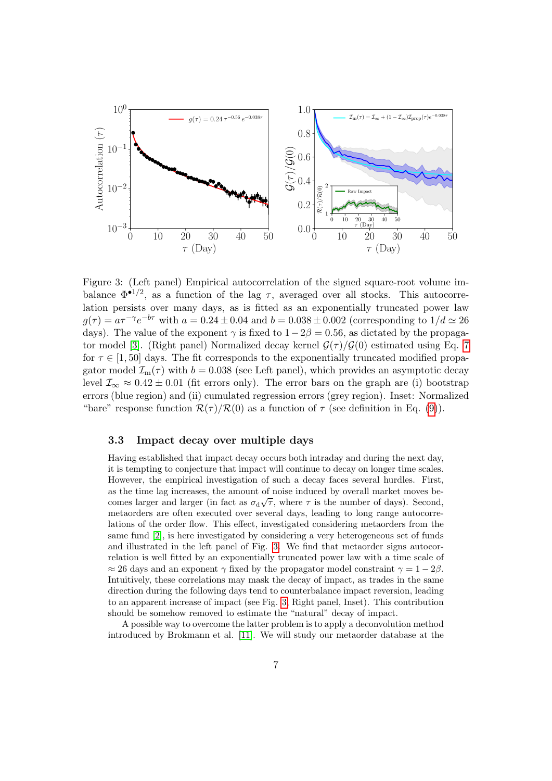<span id="page-6-1"></span>

Figure 3: (Left panel) Empirical autocorrelation of the signed square-root volume imbalance  $\Phi^{-1/2}$ , as a function of the lag  $\tau$ , averaged over all stocks. This autocorrelation persists over many days, as is fitted as an exponentially truncated power law  $g(\tau) = a\tau^{-\gamma}e^{-b\tau}$  with  $a = 0.24 \pm 0.04$  and  $b = 0.038 \pm 0.002$  (corresponding to  $1/d \simeq 26$ days). The value of the exponent  $\gamma$  is fixed to  $1-2\beta = 0.56$ , as dictated by the propaga-tor model [\[3\]](#page-10-4). (Right panel) Normalized decay kernel  $\mathcal{G}(\tau)/\mathcal{G}(0)$  estimated using Eq. [7](#page-7-0) for  $\tau \in [1, 50]$  days. The fit corresponds to the exponentially truncated modified propagator model  $\mathcal{I}_m(\tau)$  with  $b = 0.038$  (see Left panel), which provides an asymptotic decay level  $\mathcal{I}_{\infty} \approx 0.42 \pm 0.01$  (fit errors only). The error bars on the graph are (i) bootstrap errors (blue region) and (ii) cumulated regression errors (grey region). Inset: Normalized "bare" response function  $\mathcal{R}(\tau)/\mathcal{R}(0)$  as a function of  $\tau$  (see definition in Eq. [\(9\)](#page-9-1)).

#### <span id="page-6-0"></span>3.3 Impact decay over multiple days

Having established that impact decay occurs both intraday and during the next day, it is tempting to conjecture that impact will continue to decay on longer time scales. However, the empirical investigation of such a decay faces several hurdles. First, as the time lag increases, the amount of noise induced by overall market moves becomes larger and larger (in fact as  $\sigma_d\sqrt{\tau}$ , where  $\tau$  is the number of days). Second, metaorders are often executed over several days, leading to long range autocorrelations of the order flow. This effect, investigated considering metaorders from the same fund [\[2\]](#page-10-3), is here investigated by considering a very heterogeneous set of funds and illustrated in the left panel of Fig. [3.](#page-6-1) We find that metaorder signs autocorrelation is well fitted by an exponentially truncated power law with a time scale of  $\approx 26$  days and an exponent  $\gamma$  fixed by the propagator model constraint  $\gamma = 1 - 2\beta$ . Intuitively, these correlations may mask the decay of impact, as trades in the same direction during the following days tend to counterbalance impact reversion, leading to an apparent increase of impact (see Fig. [3,](#page-6-1) Right panel, Inset). This contribution should be somehow removed to estimate the "natural" decay of impact.

A possible way to overcome the latter problem is to apply a deconvolution method introduced by Brokmann et al. [\[11\]](#page-11-13). We will study our metaorder database at the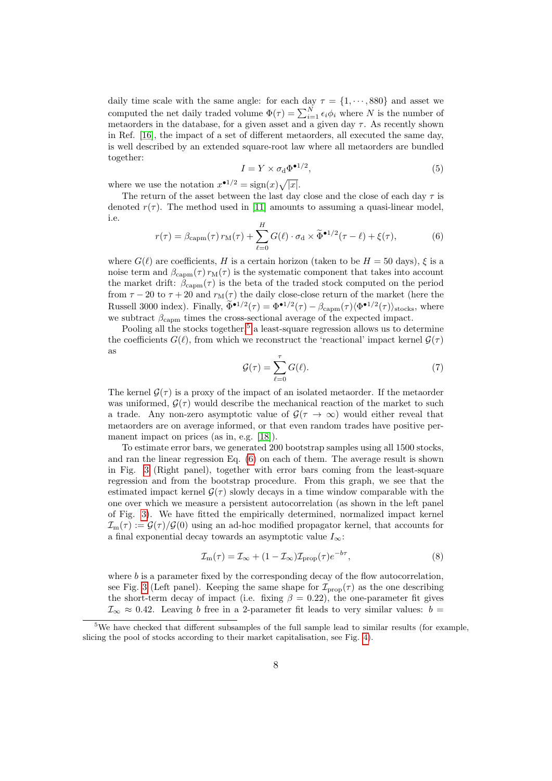daily time scale with the same angle: for each day  $\tau = \{1, \dots, 880\}$  and asset we computed the net daily traded volume  $\Phi(\tau) = \sum_{i=1}^{N} \epsilon_i \phi_i$  where N is the number of metaorders in the database, for a given asset and a given day  $\tau$ . As recently shown in Ref. [\[16\]](#page-11-14), the impact of a set of different metaorders, all executed the same day, is well described by an extended square-root law where all metaorders are bundled together:

$$
I = Y \times \sigma_{\rm d} \Phi^{\bullet 1/2},\tag{5}
$$

where we use the notation  $x^{\bullet 1/2} = \text{sign}(x)\sqrt{|x|}$ .

The return of the asset between the last day close and the close of each day  $\tau$  is denoted  $r(\tau)$ . The method used in [\[11\]](#page-11-13) amounts to assuming a quasi-linear model, i.e.

<span id="page-7-2"></span>
$$
r(\tau) = \beta_{\text{capm}}(\tau) r_{\text{M}}(\tau) + \sum_{\ell=0}^{H} G(\ell) \cdot \sigma_{\text{d}} \times \widetilde{\Phi}^{\bullet 1/2}(\tau - \ell) + \xi(\tau), \tag{6}
$$

where  $G(\ell)$  are coefficients, H is a certain horizon (taken to be  $H = 50$  days),  $\xi$  is a noise term and  $\beta_{\text{camm}}(\tau) r_{\text{M}}(\tau)$  is the systematic component that takes into account the market drift:  $\beta_{\text{capm}}(\tau)$  is the beta of the traded stock computed on the period from  $\tau - 20$  to  $\tau + 20$  and  $r_M(\tau)$  the daily close-close return of the market (here the Russell 3000 index). Finally,  $\Phi^{\bullet 1/2}(\tau) = \Phi^{\bullet 1/2}(\tau) - \beta_{\text{capm}}(\tau) \langle \Phi^{\bullet 1/2}(\tau) \rangle_{\text{stocks}}$ , where we subtract  $\beta_{\text{capm}}$  times the cross-sectional average of the expected impact.

Pooling all the stocks together,<sup>[5](#page-7-1)</sup> a least-square regression allows us to determine the coefficients  $G(\ell)$ , from which we reconstruct the 'reactional' impact kernel  $\mathcal{G}(\tau)$ as

<span id="page-7-0"></span>
$$
\mathcal{G}(\tau) = \sum_{\ell=0}^{\tau} G(\ell). \tag{7}
$$

The kernel  $G(\tau)$  is a proxy of the impact of an isolated metaorder. If the metaorder was uniformed,  $G(\tau)$  would describe the mechanical reaction of the market to such a trade. Any non-zero asymptotic value of  $\mathcal{G}(\tau \to \infty)$  would either reveal that metaorders are on average informed, or that even random trades have positive per-manent impact on prices (as in, e.g. [\[18\]](#page-11-9)).

To estimate error bars, we generated 200 bootstrap samples using all 1500 stocks, and ran the linear regression Eq. [\(6\)](#page-7-2) on each of them. The average result is shown in Fig. [3](#page-6-1) (Right panel), together with error bars coming from the least-square regression and from the bootstrap procedure. From this graph, we see that the estimated impact kernel  $\mathcal{G}(\tau)$  slowly decays in a time window comparable with the one over which we measure a persistent autocorrelation (as shown in the left panel of Fig. [3\)](#page-6-1). We have fitted the empirically determined, normalized impact kernel  $\mathcal{I}_m(\tau) := \mathcal{G}(\tau)/\mathcal{G}(0)$  using an ad-hoc modified propagator kernel, that accounts for a final exponential decay towards an asymptotic value  $I_{\infty}$ :

$$
\mathcal{I}_{\rm m}(\tau) = \mathcal{I}_{\infty} + (1 - \mathcal{I}_{\infty}) \mathcal{I}_{\rm prop}(\tau) e^{-b\tau},\tag{8}
$$

where  $b$  is a parameter fixed by the corresponding decay of the flow autocorrelation, see Fig. [3](#page-6-1) (Left panel). Keeping the same shape for  $\mathcal{I}_{\text{prop}}(\tau)$  as the one describing the short-term decay of impact (i.e. fixing  $\beta = 0.22$ ), the one-parameter fit gives  $\mathcal{I}_{\infty} \approx 0.42$ . Leaving b free in a 2-parameter fit leads to very similar values:  $b =$ 

<span id="page-7-1"></span><sup>&</sup>lt;sup>5</sup>We have checked that different subsamples of the full sample lead to similar results (for example, slicing the pool of stocks according to their market capitalisation, see Fig. [4\)](#page-8-0).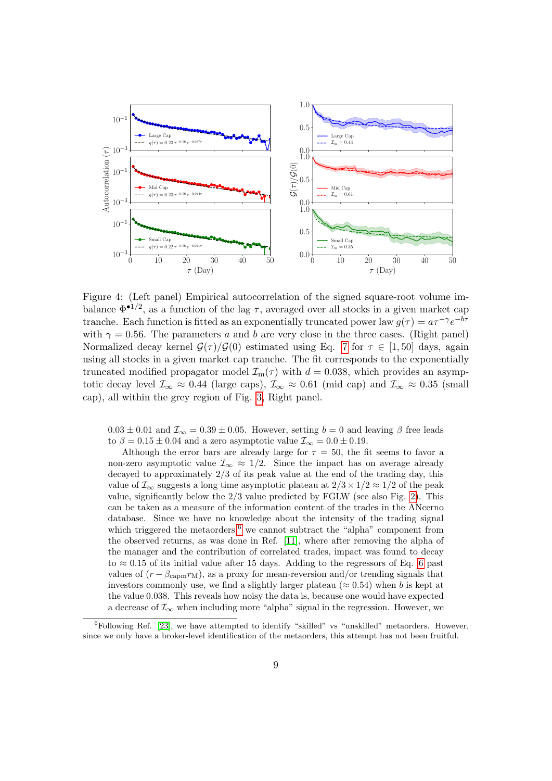<span id="page-8-0"></span>

Figure 4: (Left panel) Empirical autocorrelation of the signed square-root volume imbalance  $\Phi^{\bullet 1/2}$ , as a function of the lag  $\tau$ , averaged over all stocks in a given market cap tranche. Each function is fitted as an exponentially truncated power law  $g(\tau) = a\tau^{-\gamma}e^{-b\tau}$ with  $\gamma = 0.56$ . The parameters a and b are very close in the three cases. (Right panel) Normalized decay kernel  $\mathcal{G}(\tau)/\mathcal{G}(0)$  estimated using Eq. [7](#page-7-0) for  $\tau \in [1, 50]$  days, again using all stocks in a given market cap tranche. The fit corresponds to the exponentially truncated modified propagator model  $\mathcal{I}_m(\tau)$  with  $d = 0.038$ , which provides an asymptotic decay level  $\mathcal{I}_{\infty} \approx 0.44$  (large caps),  $\mathcal{I}_{\infty} \approx 0.61$  (mid cap) and  $\mathcal{I}_{\infty} \approx 0.35$  (small cap), all within the grey region of Fig. [3,](#page-6-1) Right panel.

 $0.03 \pm 0.01$  and  $\mathcal{I}_{\infty} = 0.39 \pm 0.05$ . However, setting  $b = 0$  and leaving  $\beta$  free leads to  $\beta = 0.15 \pm 0.04$  and a zero asymptotic value  $\mathcal{I}_{\infty} = 0.0 \pm 0.19$ .

Although the error bars are already large for  $\tau = 50$ , the fit seems to favor a non-zero asymptotic value  $\mathcal{I}_{\infty} \approx 1/2$ . Since the impact has on average already decayed to approximately 2/3 of its peak value at the end of the trading day, this value of  $\mathcal{I}_{\infty}$  suggests a long time asymptotic plateau at  $2/3 \times 1/2 \approx 1/2$  of the peak value, significantly below the  $2/3$  value predicted by FGLW (see also Fig. [2\)](#page-5-1). This can be taken as a measure of the information content of the trades in the ANcerno database. Since we have no knowledge about the intensity of the trading signal which triggered the metaorders, $6 \le \text{cannot}$  $6 \le \text{cannot}$  subtract the "alpha" component from the observed returns, as was done in Ref. [\[11\]](#page-11-13), where after removing the alpha of the manager and the contribution of correlated trades, impact was found to decay to  $\approx 0.15$  of its initial value after 15 days. Adding to the regressors of Eq. [6](#page-7-2) past values of  $(r - \beta_{\text{cam}} r_M)$ , as a proxy for mean-reversion and/or trending signals that investors commonly use, we find a slightly larger plateau ( $\approx 0.54$ ) when b is kept at the value 0.038. This reveals how noisy the data is, because one would have expected a decrease of  $\mathcal{I}_{\infty}$  when including more "alpha" signal in the regression. However, we

<span id="page-8-1"></span> $6$ Following Ref. [\[23\]](#page-11-16), we have attempted to identify "skilled" vs "unskilled" metaorders. However, since we only have a broker-level identification of the metaorders, this attempt has not been fruitful.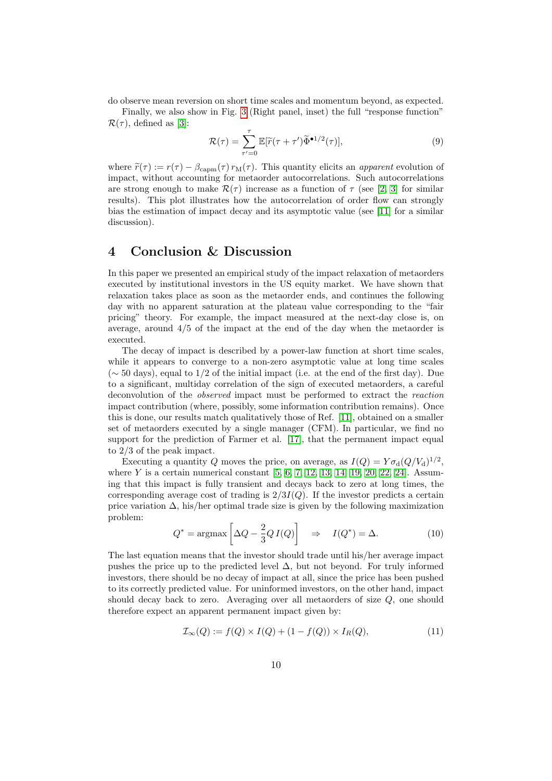do observe mean reversion on short time scales and momentum beyond, as expected.

Finally, we also show in Fig. [3](#page-6-1) (Right panel, inset) the full "response function"  $\mathcal{R}(\tau)$ , defined as [\[3\]](#page-10-4):

<span id="page-9-1"></span>
$$
\mathcal{R}(\tau) = \sum_{\tau'=0}^{\tau} \mathbb{E}[\widetilde{r}(\tau + \tau')\widetilde{\Phi}^{\bullet 1/2}(\tau)],\tag{9}
$$

where  $\tilde{r}(\tau) := r(\tau) - \beta_{\text{camm}}(\tau) r_{\text{M}}(\tau)$ . This quantity elicits an *apparent* evolution of impact, without accounting for metaorder autocorrelations. Such autocorrelations are strong enough to make  $\mathcal{R}(\tau)$  increase as a function of  $\tau$  (see [\[2,](#page-10-3) [3\]](#page-10-4) for similar results). This plot illustrates how the autocorrelation of order flow can strongly bias the estimation of impact decay and its asymptotic value (see [\[11\]](#page-11-13) for a similar discussion).

# <span id="page-9-0"></span>4 Conclusion & Discussion

In this paper we presented an empirical study of the impact relaxation of metaorders executed by institutional investors in the US equity market. We have shown that relaxation takes place as soon as the metaorder ends, and continues the following day with no apparent saturation at the plateau value corresponding to the "fair pricing" theory. For example, the impact measured at the next-day close is, on average, around 4/5 of the impact at the end of the day when the metaorder is executed.

The decay of impact is described by a power-law function at short time scales, while it appears to converge to a non-zero asymptotic value at long time scales  $({\sim} 50 \text{ days})$ , equal to 1/2 of the initial impact (i.e. at the end of the first day). Due to a significant, multiday correlation of the sign of executed metaorders, a careful deconvolution of the observed impact must be performed to extract the reaction impact contribution (where, possibly, some information contribution remains). Once this is done, our results match qualitatively those of Ref. [\[11\]](#page-11-13), obtained on a smaller set of metaorders executed by a single manager (CFM). In particular, we find no support for the prediction of Farmer et al. [\[17\]](#page-11-7), that the permanent impact equal to 2/3 of the peak impact.

Executing a quantity Q moves the price, on average, as  $I(Q) = Y \sigma_d (Q/V_d)^{1/2}$ , where  $Y$  is a certain numerical constant  $[5, 6, 7, 12, 13, 14, 19, 20, 22, 24]$  $[5, 6, 7, 12, 13, 14, 19, 20, 22, 24]$  $[5, 6, 7, 12, 13, 14, 19, 20, 22, 24]$  $[5, 6, 7, 12, 13, 14, 19, 20, 22, 24]$  $[5, 6, 7, 12, 13, 14, 19, 20, 22, 24]$  $[5, 6, 7, 12, 13, 14, 19, 20, 22, 24]$  $[5, 6, 7, 12, 13, 14, 19, 20, 22, 24]$  $[5, 6, 7, 12, 13, 14, 19, 20, 22, 24]$  $[5, 6, 7, 12, 13, 14, 19, 20, 22, 24]$  $[5, 6, 7, 12, 13, 14, 19, 20, 22, 24]$ . Assuming that this impact is fully transient and decays back to zero at long times, the corresponding average cost of trading is  $2/3I(Q)$ . If the investor predicts a certain price variation  $\Delta$ , his/her optimal trade size is given by the following maximization problem:

$$
Q^* = \operatorname{argmax}\left[\Delta Q - \frac{2}{3} Q I(Q)\right] \quad \Rightarrow \quad I(Q^*) = \Delta. \tag{10}
$$

The last equation means that the investor should trade until his/her average impact pushes the price up to the predicted level  $\Delta$ , but not beyond. For truly informed investors, there should be no decay of impact at all, since the price has been pushed to its correctly predicted value. For uninformed investors, on the other hand, impact should decay back to zero. Averaging over all metaorders of size  $Q$ , one should therefore expect an apparent permanent impact given by:

$$
\mathcal{I}_{\infty}(Q) := f(Q) \times I(Q) + (1 - f(Q)) \times I_R(Q), \tag{11}
$$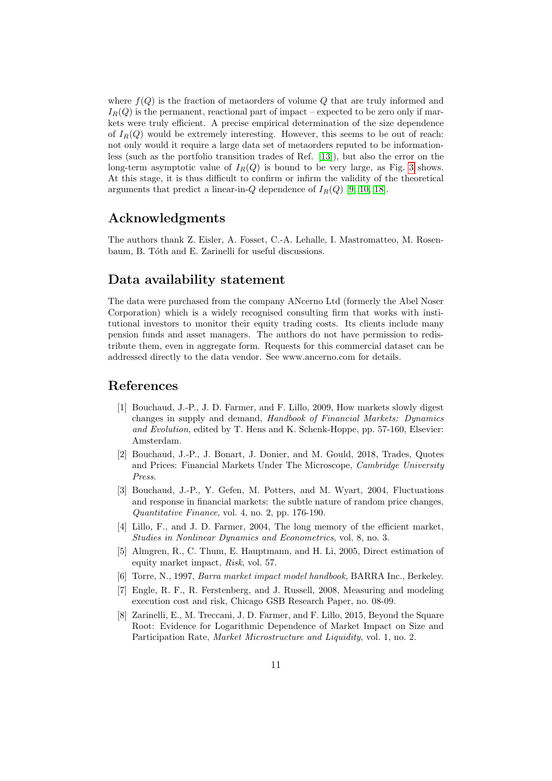where  $f(Q)$  is the fraction of metaorders of volume Q that are truly informed and  $I_R(Q)$  is the permanent, reactional part of impact – expected to be zero only if markets were truly efficient. A precise empirical determination of the size dependence of  $I_R(Q)$  would be extremely interesting. However, this seems to be out of reach: not only would it require a large data set of metaorders reputed to be informationless (such as the portfolio transition trades of Ref. [\[13\]](#page-11-1)), but also the error on the long-term asymptotic value of  $I_R(Q)$  is bound to be very large, as Fig. [3](#page-6-1) shows. At this stage, it is thus difficult to confirm or infirm the validity of the theoretical arguments that predict a linear-in- $Q$  dependence of  $I_R(Q)$  [\[9,](#page-11-10) [10,](#page-11-11) [18\]](#page-11-9).

# Acknowledgments

The authors thank Z. Eisler, A. Fosset, C.-A. Lehalle, I. Mastromatteo, M. Rosenbaum, B. Tóth and E. Zarinelli for useful discussions.

# Data availability statement

The data were purchased from the company ANcerno Ltd (formerly the Abel Noser Corporation) which is a widely recognised consulting firm that works with institutional investors to monitor their equity trading costs. Its clients include many pension funds and asset managers. The authors do not have permission to redistribute them, even in aggregate form. Requests for this commercial dataset can be addressed directly to the data vendor. See www.ancerno.com for details.

## References

- [1] Bouchaud, J.-P., J. D. Farmer, and F. Lillo, 2009, How markets slowly digest changes in supply and demand, Handbook of Financial Markets: Dynamics and Evolution, edited by T. Hens and K. Schenk-Hoppe, pp. 57-160, Elsevier: Amsterdam.
- <span id="page-10-3"></span>[2] Bouchaud, J.-P., J. Bonart, J. Donier, and M. Gould, 2018, Trades, Quotes and Prices: Financial Markets Under The Microscope, Cambridge University Press.
- <span id="page-10-4"></span>[3] Bouchaud, J.-P., Y. Gefen, M. Potters, and M. Wyart, 2004, Fluctuations and response in financial markets: the subtle nature of random price changes, Quantitative Finance, vol. 4, no. 2, pp. 176-190.
- [4] Lillo, F., and J. D. Farmer, 2004, The long memory of the efficient market, Studies in Nonlinear Dynamics and Econometrics, vol. 8, no. 3.
- <span id="page-10-0"></span>[5] Almgren, R., C. Thum, E. Hauptmann, and H. Li, 2005, Direct estimation of equity market impact, Risk, vol. 57.
- <span id="page-10-1"></span>[6] Torre, N., 1997, Barra market impact model handbook, BARRA Inc., Berkeley.
- <span id="page-10-2"></span>[7] Engle, R. F., R. Ferstenberg, and J. Russell, 2008, Measuring and modeling execution cost and risk, Chicago GSB Research Paper, no. 08-09.
- <span id="page-10-5"></span>[8] Zarinelli, E., M. Treccani, J. D. Farmer, and F. Lillo, 2015, Beyond the Square Root: Evidence for Logarithmic Dependence of Market Impact on Size and Participation Rate, Market Microstructure and Liquidity, vol. 1, no. 2.